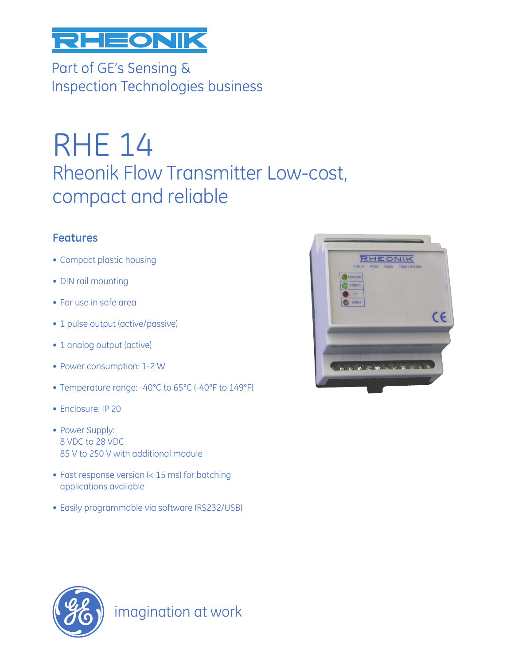

Part of GE's Sensing & **Inspection Technologies business** 

# RHE 14 Rheonik Flow Transmitter Low-cost, compact and reliable

### **Features**

- Compact plastic housing
- DIN rail mounting
- For use in safe area
- 1 pulse output (active/passive)
- 1 analog output (active)
- Power consumption: 1-2 W
- Temperature range: -40°C to 65°C (-40°F to 149°F)
- Enclosure: IP 20
- Power Supply: 8 VDC to 28 VDC 85 V to 250 V with additional module
- Fast response version (< 15 ms) for batching applications available
- Easily programmable via software (RS232/USB)